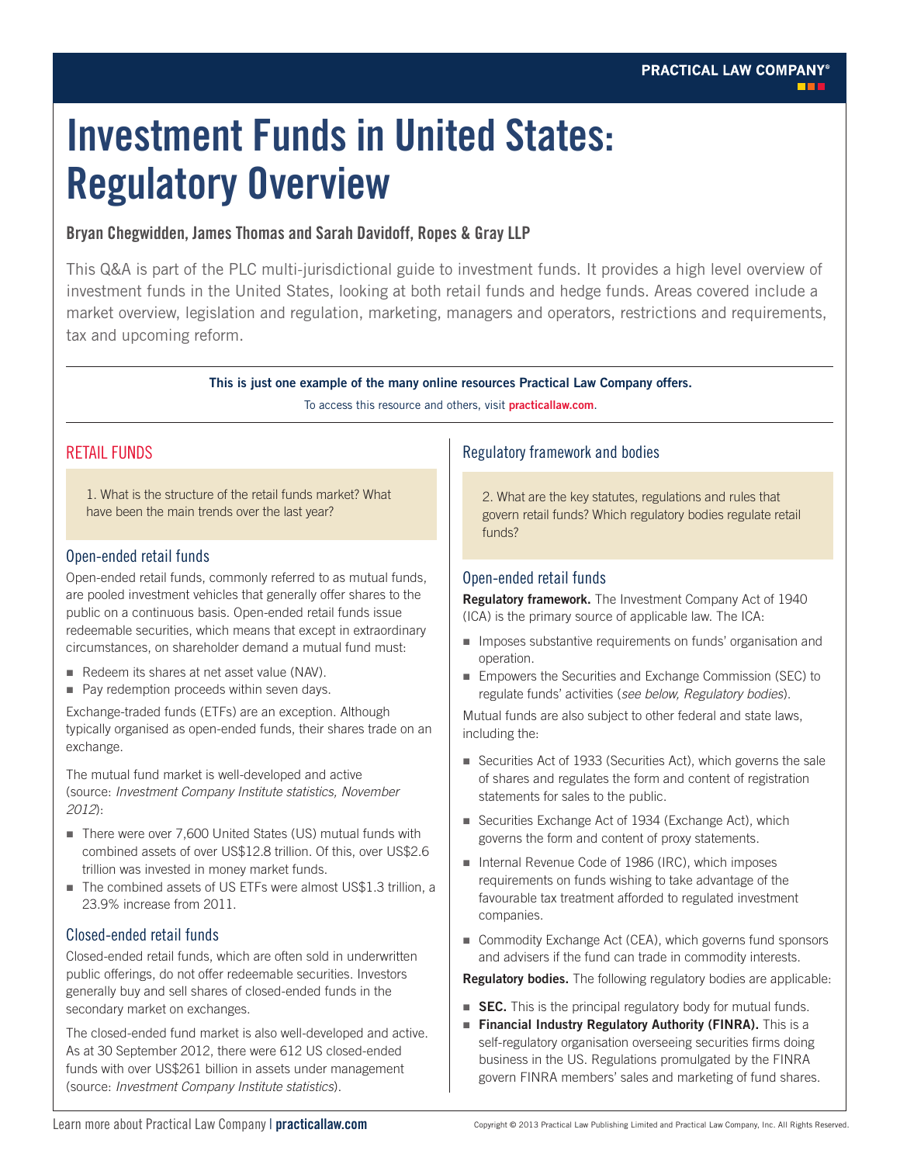# **Investment Funds in United States: Regulatory Overview**

# **Bryan Chegwidden, James Thomas and Sarah Davidoff, Ropes & Gray LLP**

This Q&A is part of the PLC multi-jurisdictional guide to investment funds. It provides a high level overview of investment funds in the United States, looking at both retail funds and hedge funds. Areas covered include a market overview, legislation and regulation, marketing, managers and operators, restrictions and requirements, tax and upcoming reform.

**This is just one example of the many online resources Practical Law Company offers.**

To access this resource and others, visit **[practicallaw.com](http://us.practicallaw.com)**.

# RETAIL FUNDS

1. What is the structure of the retail funds market? What have been the main trends over the last year?

# Open-ended retail funds

Open-ended retail funds, commonly referred to as mutual funds, are pooled investment vehicles that generally offer shares to the public on a continuous basis. Open-ended retail funds issue redeemable securities, which means that except in extraordinary circumstances, on shareholder demand a mutual fund must:

- Redeem its shares at net asset value (NAV).
- Pay redemption proceeds within seven days.

Exchange-traded funds (ETFs) are an exception. Although typically organised as open-ended funds, their shares trade on an exchange.

The mutual fund market is well-developed and active (source: *Investment Company Institute statistics, November 2012*):

- There were over 7,600 United States (US) mutual funds with combined assets of over US\$12.8 trillion. Of this, over US\$2.6 trillion was invested in money market funds.
- The combined assets of US ETFs were almost US\$1.3 trillion, a 23.9% increase from 2011.

# Closed-ended retail funds

Closed-ended retail funds, which are often sold in underwritten public offerings, do not offer redeemable securities. Investors generally buy and sell shares of closed-ended funds in the secondary market on exchanges.

The closed-ended fund market is also well-developed and active. As at 30 September 2012, there were 612 US closed-ended funds with over US\$261 billion in assets under management (source: *Investment Company Institute statistics*).

# Regulatory framework and bodies

2. What are the key statutes, regulations and rules that govern retail funds? Which regulatory bodies regulate retail funds?

# Open-ended retail funds

**Regulatory framework.** The Investment Company Act of 1940 (ICA) is the primary source of applicable law. The ICA:

- **IMPOSES** substantive requirements on funds' organisation and operation.
- Empowers the Securities and Exchange Commission (SEC) to regulate funds' activities (*see below, Regulatory bodies*).

Mutual funds are also subject to other federal and state laws, including the:

- Securities Act of 1933 (Securities Act), which governs the sale of shares and regulates the form and content of registration statements for sales to the public.
- Securities Exchange Act of 1934 (Exchange Act), which governs the form and content of proxy statements.
- Internal Revenue Code of 1986 (IRC), which imposes requirements on funds wishing to take advantage of the favourable tax treatment afforded to regulated investment companies.
- Commodity Exchange Act (CEA), which governs fund sponsors and advisers if the fund can trade in commodity interests.

**Regulatory bodies.** The following regulatory bodies are applicable:

- **SEC.** This is the principal regulatory body for mutual funds.
- **Financial Industry Regulatory Authority (FINRA).** This is a self-regulatory organisation overseeing securities firms doing business in the US. Regulations promulgated by the FINRA govern FINRA members' sales and marketing of fund shares.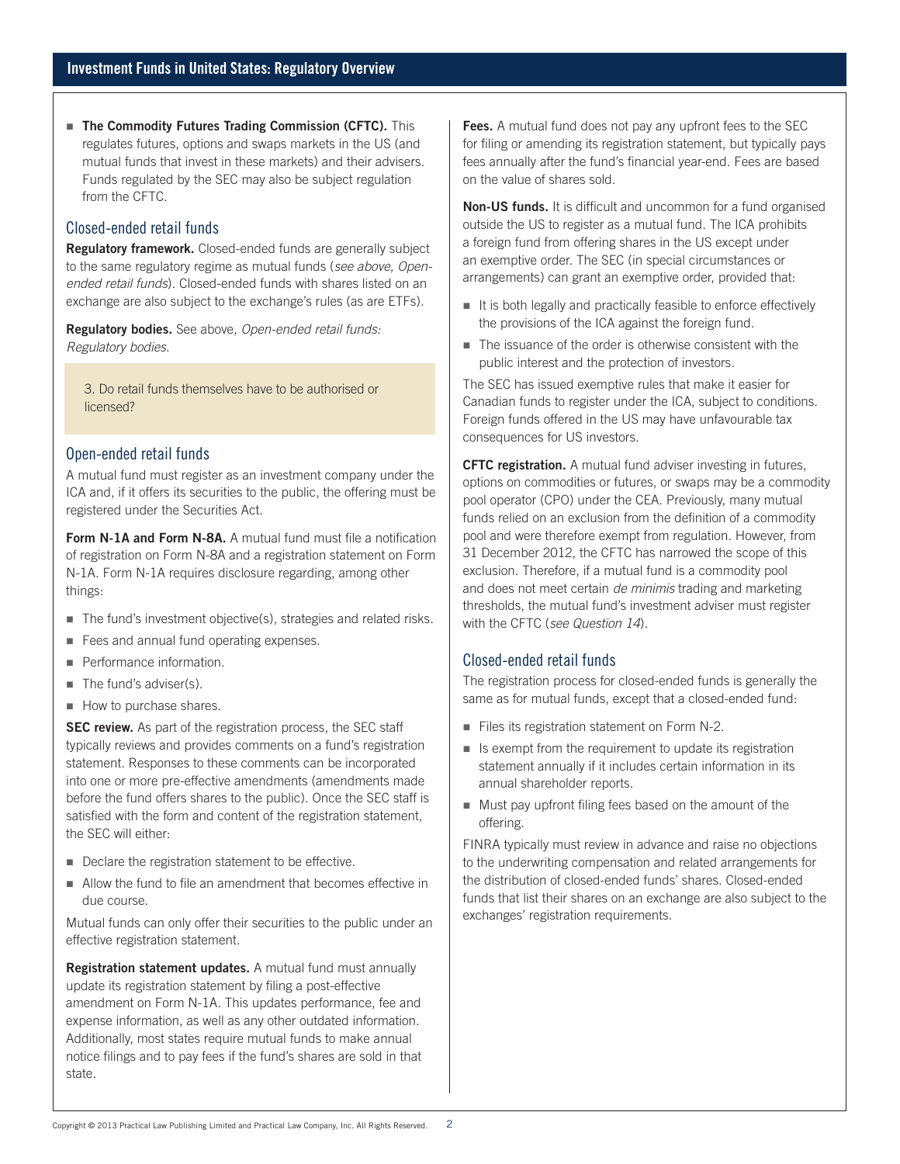**The Commodity Futures Trading Commission (CFTC).** This regulates futures, options and swaps markets in the US (and mutual funds that invest in these markets) and their advisers. Funds regulated by the SEC may also be subject regulation from the CFTC.

#### Closed-ended retail funds

**Regulatory framework.** Closed-ended funds are generally subject to the same regulatory regime as mutual funds (*see above, Openended retail funds*). Closed-ended funds with shares listed on an exchange are also subject to the exchange's rules (as are ETFs).

**Regulatory bodies.** See above, *Open-ended retail funds: Regulatory bodies*.

3. Do retail funds themselves have to be authorised or licensed?

#### Open-ended retail funds

A mutual fund must register as an investment company under the ICA and, if it offers its securities to the public, the offering must be registered under the Securities Act.

**Form N-1A and Form N-8A.** A mutual fund must file a notification of registration on Form N-8A and a registration statement on Form N-1A. Form N-1A requires disclosure regarding, among other things:

- The fund's investment objective(s), strategies and related risks.
- Fees and annual fund operating expenses.
- **Performance information.**
- The fund's adviser(s).
- How to purchase shares.

**SEC review.** As part of the registration process, the SEC staff typically reviews and provides comments on a fund's registration statement. Responses to these comments can be incorporated into one or more pre-effective amendments (amendments made before the fund offers shares to the public). Once the SEC staff is satisfied with the form and content of the registration statement, the SEC will either:

- Declare the registration statement to be effective.
- Allow the fund to file an amendment that becomes effective in due course.

Mutual funds can only offer their securities to the public under an effective registration statement.

**Registration statement updates.** A mutual fund must annually update its registration statement by filing a post-effective amendment on Form N-1A. This updates performance, fee and expense information, as well as any other outdated information. Additionally, most states require mutual funds to make annual notice filings and to pay fees if the fund's shares are sold in that state.

**Fees.** A mutual fund does not pay any upfront fees to the SEC for filing or amending its registration statement, but typically pays fees annually after the fund's financial year-end. Fees are based on the value of shares sold.

**Non-US funds.** It is difficult and uncommon for a fund organised outside the US to register as a mutual fund. The ICA prohibits a foreign fund from offering shares in the US except under an exemptive order. The SEC (in special circumstances or arrangements) can grant an exemptive order, provided that:

- It is both legally and practically feasible to enforce effectively the provisions of the ICA against the foreign fund.
- The issuance of the order is otherwise consistent with the public interest and the protection of investors.

The SEC has issued exemptive rules that make it easier for Canadian funds to register under the ICA, subject to conditions. Foreign funds offered in the US may have unfavourable tax consequences for US investors.

**CFTC registration.** A mutual fund adviser investing in futures, options on commodities or futures, or swaps may be a commodity pool operator (CPO) under the CEA. Previously, many mutual funds relied on an exclusion from the definition of a commodity pool and were therefore exempt from regulation. However, from 31 December 2012, the CFTC has narrowed the scope of this exclusion. Therefore, if a mutual fund is a commodity pool and does not meet certain *de minimis* trading and marketing thresholds, the mutual fund's investment adviser must register with the CFTC (*see Question 14*).

#### Closed-ended retail funds

The registration process for closed-ended funds is generally the same as for mutual funds, except that a closed-ended fund:

- Files its registration statement on Form N-2.
- $\blacksquare$  Is exempt from the requirement to update its registration statement annually if it includes certain information in its annual shareholder reports.
- Must pay upfront filing fees based on the amount of the offering.

FINRA typically must review in advance and raise no objections to the underwriting compensation and related arrangements for the distribution of closed-ended funds' shares. Closed-ended funds that list their shares on an exchange are also subject to the exchanges' registration requirements.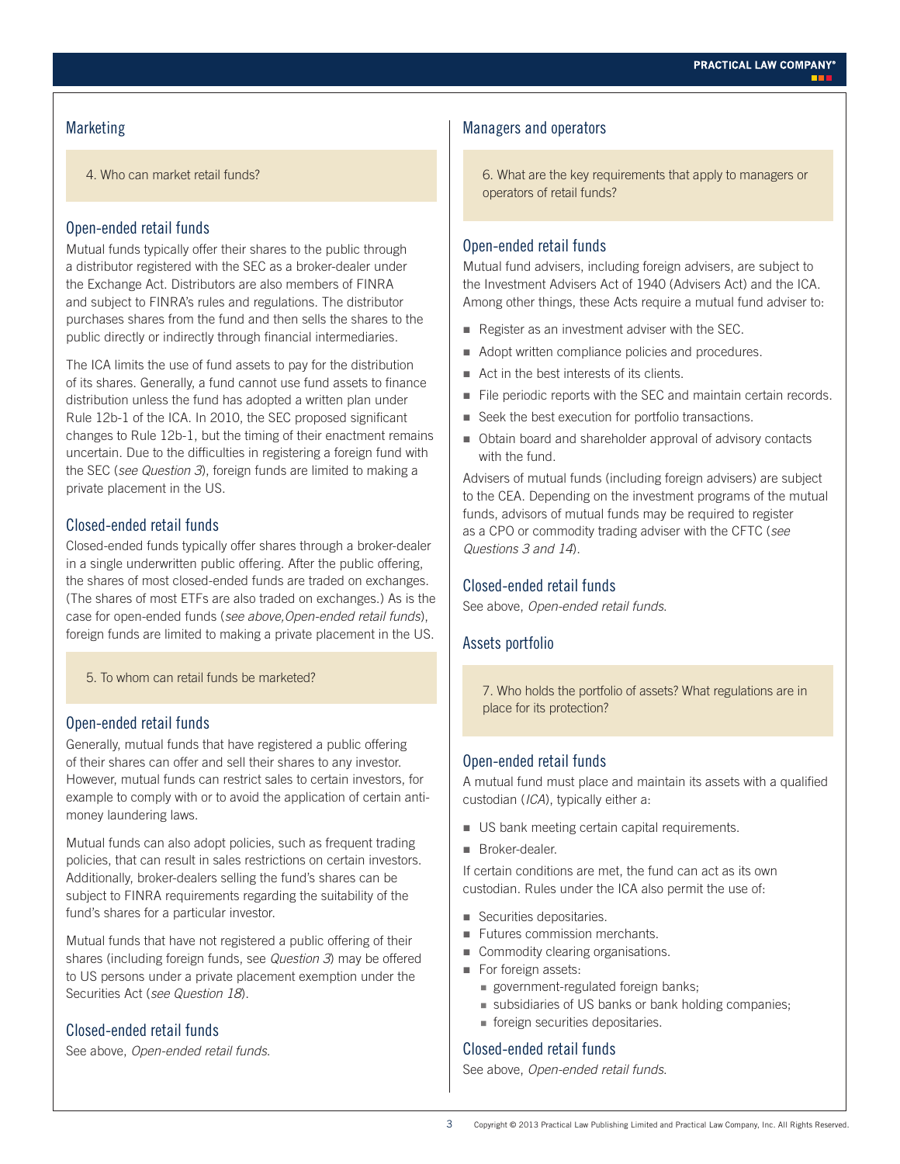# **Marketing**

4. Who can market retail funds?

#### Open-ended retail funds

Mutual funds typically offer their shares to the public through a distributor registered with the SEC as a broker-dealer under the Exchange Act. Distributors are also members of FINRA and subject to FINRA's rules and regulations. The distributor purchases shares from the fund and then sells the shares to the public directly or indirectly through financial intermediaries.

The ICA limits the use of fund assets to pay for the distribution of its shares. Generally, a fund cannot use fund assets to finance distribution unless the fund has adopted a written plan under Rule 12b-1 of the ICA. In 2010, the SEC proposed significant changes to Rule 12b-1, but the timing of their enactment remains uncertain. Due to the difficulties in registering a foreign fund with the SEC (*see Question 3*), foreign funds are limited to making a private placement in the US.

# Closed-ended retail funds

Closed-ended funds typically offer shares through a broker-dealer in a single underwritten public offering. After the public offering, the shares of most closed-ended funds are traded on exchanges. (The shares of most ETFs are also traded on exchanges.) As is the case for open-ended funds (*see above,Open-ended retail funds*), foreign funds are limited to making a private placement in the US.

5. To whom can retail funds be marketed?

#### Open-ended retail funds

Generally, mutual funds that have registered a public offering of their shares can offer and sell their shares to any investor. However, mutual funds can restrict sales to certain investors, for example to comply with or to avoid the application of certain antimoney laundering laws.

Mutual funds can also adopt policies, such as frequent trading policies, that can result in sales restrictions on certain investors. Additionally, broker-dealers selling the fund's shares can be subject to FINRA requirements regarding the suitability of the fund's shares for a particular investor.

Mutual funds that have not registered a public offering of their shares (including foreign funds, see *Question 3*) may be offered to US persons under a private placement exemption under the Securities Act (*see Question 18*).

### Closed-ended retail funds

See above, *Open-ended retail funds*.

#### Managers and operators

6. What are the key requirements that apply to managers or operators of retail funds?

#### Open-ended retail funds

Mutual fund advisers, including foreign advisers, are subject to the Investment Advisers Act of 1940 (Advisers Act) and the ICA. Among other things, these Acts require a mutual fund adviser to:

- Register as an investment adviser with the SEC.
- Adopt written compliance policies and procedures.
- Act in the best interests of its clients.
- File periodic reports with the SEC and maintain certain records.
- Seek the best execution for portfolio transactions.
- Obtain board and shareholder approval of advisory contacts with the fund.

Advisers of mutual funds (including foreign advisers) are subject to the CEA. Depending on the investment programs of the mutual funds, advisors of mutual funds may be required to register as a CPO or commodity trading adviser with the CFTC (*see Questions 3 and 14*).

#### Closed-ended retail funds

See above, *Open-ended retail funds*.

#### Assets portfolio

7. Who holds the portfolio of assets? What regulations are in place for its protection?

#### Open-ended retail funds

A mutual fund must place and maintain its assets with a qualified custodian (*ICA*), typically either a:

- US bank meeting certain capital requirements.
- **Broker-dealer.**

If certain conditions are met, the fund can act as its own custodian. Rules under the ICA also permit the use of:

- Securities depositaries.
- **Futures commission merchants.**
- **Commodity clearing organisations.**
- For foreign assets:
	- government-regulated foreign banks;
	- subsidiaries of US banks or bank holding companies;
	- foreign securities depositaries.

#### Closed-ended retail funds

See above, *Open-ended retail funds*.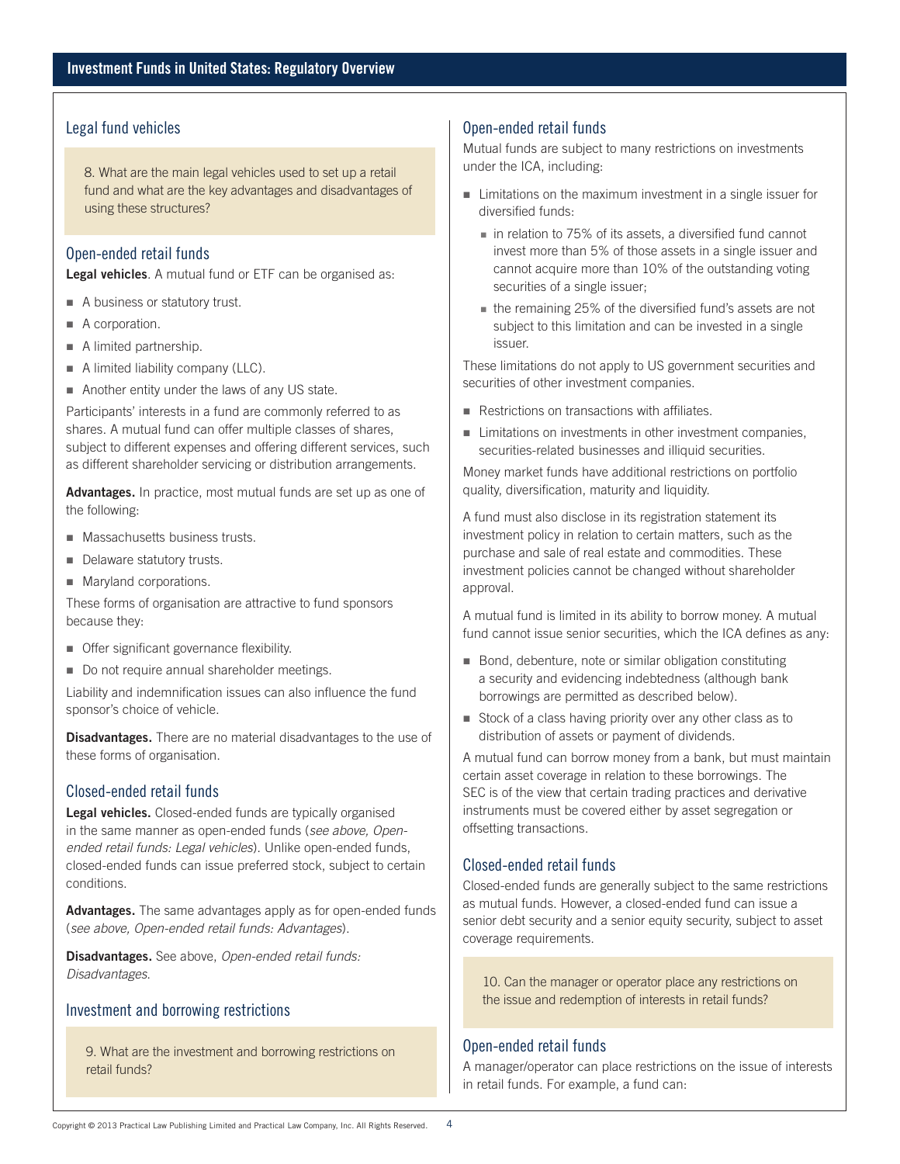### Legal fund vehicles

8. What are the main legal vehicles used to set up a retail fund and what are the key advantages and disadvantages of using these structures?

#### Open-ended retail funds

**Legal vehicles***.* A mutual fund or ETF can be organised as:

- A business or statutory trust.
- A corporation.
- A limited partnership.
- A limited liability company (LLC).
- Another entity under the laws of any US state.

Participants' interests in a fund are commonly referred to as shares. A mutual fund can offer multiple classes of shares, subject to different expenses and offering different services, such as different shareholder servicing or distribution arrangements.

**Advantages.** In practice, most mutual funds are set up as one of the following:

- **Massachusetts business trusts.**
- Delaware statutory trusts.
- **Maryland corporations.**

These forms of organisation are attractive to fund sponsors because they:

- **Offer significant governance flexibility.**
- Do not require annual shareholder meetings.

Liability and indemnification issues can also influence the fund sponsor's choice of vehicle.

**Disadvantages.** There are no material disadvantages to the use of these forms of organisation.

#### Closed-ended retail funds

**Legal vehicles.** Closed-ended funds are typically organised in the same manner as open-ended funds (*see above, Openended retail funds: Legal vehicles*). Unlike open-ended funds, closed-ended funds can issue preferred stock, subject to certain conditions.

**Advantages.** The same advantages apply as for open-ended funds (*see above, Open-ended retail funds: Advantages*).

**Disadvantages.** See above, *Open-ended retail funds: Disadvantages*.

# Investment and borrowing restrictions

9. What are the investment and borrowing restrictions on retail funds?

#### Open-ended retail funds

Mutual funds are subject to many restrictions on investments under the ICA, including:

- Limitations on the maximum investment in a single issuer for diversified funds:
	- in relation to 75% of its assets, a diversified fund cannot invest more than 5% of those assets in a single issuer and cannot acquire more than 10% of the outstanding voting securities of a single issuer;
	- the remaining 25% of the diversified fund's assets are not subject to this limitation and can be invested in a single issuer.

These limitations do not apply to US government securities and securities of other investment companies.

- Restrictions on transactions with affiliates.
- Limitations on investments in other investment companies, securities-related businesses and illiquid securities.

Money market funds have additional restrictions on portfolio quality, diversification, maturity and liquidity.

A fund must also disclose in its registration statement its investment policy in relation to certain matters, such as the purchase and sale of real estate and commodities. These investment policies cannot be changed without shareholder approval.

A mutual fund is limited in its ability to borrow money. A mutual fund cannot issue senior securities, which the ICA defines as any:

- Bond, debenture, note or similar obligation constituting a security and evidencing indebtedness (although bank borrowings are permitted as described below).
- Stock of a class having priority over any other class as to distribution of assets or payment of dividends.

A mutual fund can borrow money from a bank, but must maintain certain asset coverage in relation to these borrowings. The SEC is of the view that certain trading practices and derivative instruments must be covered either by asset segregation or offsetting transactions.

#### Closed-ended retail funds

Closed-ended funds are generally subject to the same restrictions as mutual funds. However, a closed-ended fund can issue a senior debt security and a senior equity security, subject to asset coverage requirements.

10. Can the manager or operator place any restrictions on the issue and redemption of interests in retail funds?

#### Open-ended retail funds

A manager/operator can place restrictions on the issue of interests in retail funds. For example, a fund can: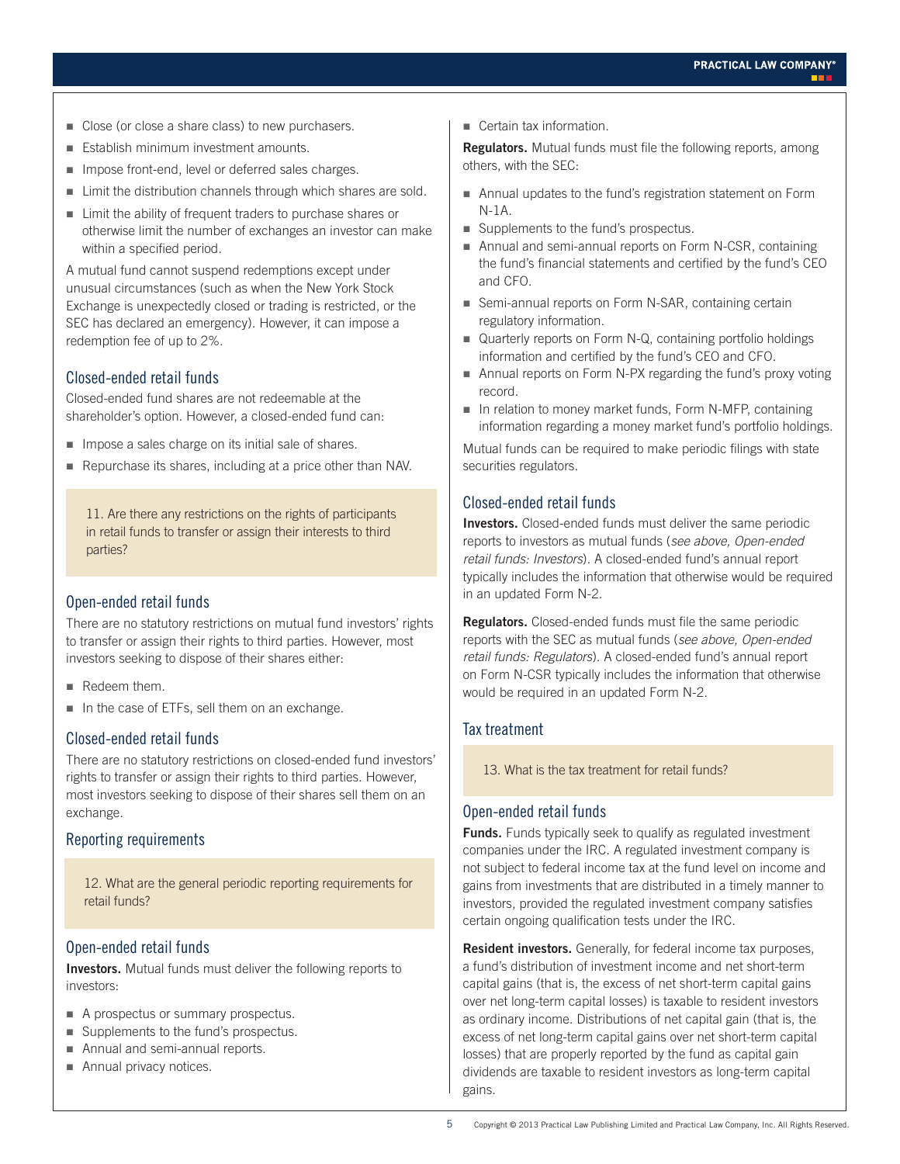- Close (or close a share class) to new purchasers.
- **Establish minimum investment amounts.**
- **IMPOSE front-end, level or deferred sales charges.**
- **EXECT** Limit the distribution channels through which shares are sold.
- **EXECUTE:** Limit the ability of frequent traders to purchase shares or otherwise limit the number of exchanges an investor can make within a specified period.

A mutual fund cannot suspend redemptions except under unusual circumstances (such as when the New York Stock Exchange is unexpectedly closed or trading is restricted, or the SEC has declared an emergency). However, it can impose a redemption fee of up to 2%.

# Closed-ended retail funds

Closed-ended fund shares are not redeemable at the shareholder's option. However, a closed-ended fund can:

- **IMPOSE A sales charge on its initial sale of shares.**
- Repurchase its shares, including at a price other than NAV.

11. Are there any restrictions on the rights of participants in retail funds to transfer or assign their interests to third parties?

#### Open-ended retail funds

There are no statutory restrictions on mutual fund investors' rights to transfer or assign their rights to third parties. However, most investors seeking to dispose of their shares either:

- Redeem them.
- In the case of ETFs, sell them on an exchange.

# Closed-ended retail funds

There are no statutory restrictions on closed-ended fund investors' rights to transfer or assign their rights to third parties. However, most investors seeking to dispose of their shares sell them on an exchange.

#### Reporting requirements

12. What are the general periodic reporting requirements for retail funds?

#### Open-ended retail funds

**Investors.** Mutual funds must deliver the following reports to investors:

- A prospectus or summary prospectus.
- Supplements to the fund's prospectus.
- Annual and semi-annual reports.
- Annual privacy notices.

■ Certain tax information.

**Regulators.** Mutual funds must file the following reports, among others, with the SEC:

- Annual updates to the fund's registration statement on Form N-1A.
- Supplements to the fund's prospectus.
- Annual and semi-annual reports on Form N-CSR, containing the fund's financial statements and certified by the fund's CEO and CFO.
- Semi-annual reports on Form N-SAR, containing certain regulatory information.
- Quarterly reports on Form N-Q, containing portfolio holdings information and certified by the fund's CEO and CFO.
- Annual reports on Form N-PX regarding the fund's proxy voting record.
- $\blacksquare$  In relation to money market funds, Form N-MFP, containing information regarding a money market fund's portfolio holdings.

Mutual funds can be required to make periodic filings with state securities regulators.

#### Closed-ended retail funds

**Investors.** Closed-ended funds must deliver the same periodic reports to investors as mutual funds (*see above, Open-ended retail funds: Investors*). A closed-ended fund's annual report typically includes the information that otherwise would be required in an updated Form N-2.

**Regulators.** Closed-ended funds must file the same periodic reports with the SEC as mutual funds (*see above, Open-ended retail funds: Regulators*). A closed-ended fund's annual report on Form N-CSR typically includes the information that otherwise would be required in an updated Form N-2.

#### Tax treatment

13. What is the tax treatment for retail funds?

#### Open-ended retail funds

**Funds.** Funds typically seek to qualify as regulated investment companies under the IRC. A regulated investment company is not subject to federal income tax at the fund level on income and gains from investments that are distributed in a timely manner to investors, provided the regulated investment company satisfies certain ongoing qualification tests under the IRC.

**Resident investors.** Generally, for federal income tax purposes, a fund's distribution of investment income and net short-term capital gains (that is, the excess of net short-term capital gains over net long-term capital losses) is taxable to resident investors as ordinary income. Distributions of net capital gain (that is, the excess of net long-term capital gains over net short-term capital losses) that are properly reported by the fund as capital gain dividends are taxable to resident investors as long-term capital gains.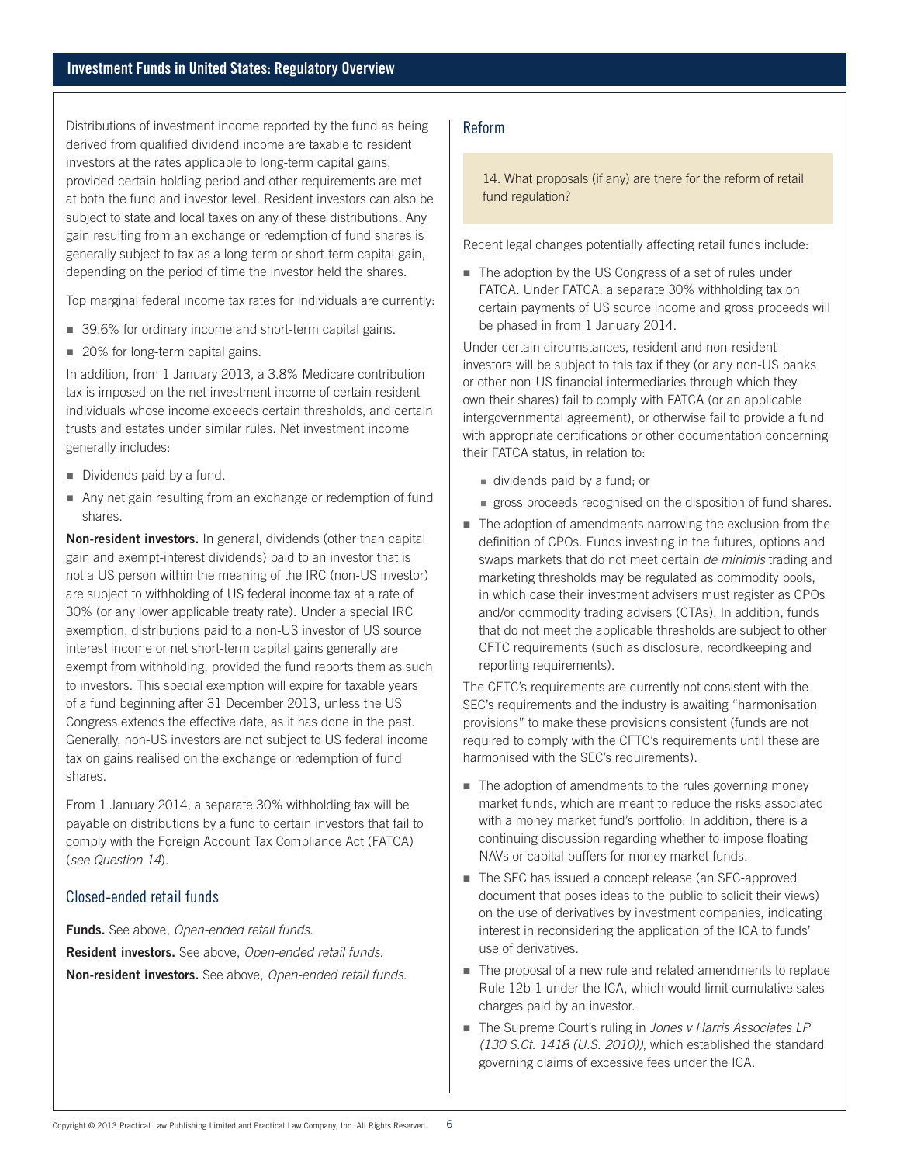Distributions of investment income reported by the fund as being derived from qualified dividend income are taxable to resident investors at the rates applicable to long-term capital gains, provided certain holding period and other requirements are met at both the fund and investor level. Resident investors can also be subject to state and local taxes on any of these distributions. Any gain resulting from an exchange or redemption of fund shares is generally subject to tax as a long-term or short-term capital gain, depending on the period of time the investor held the shares.

Top marginal federal income tax rates for individuals are currently:

- 39.6% for ordinary income and short-term capital gains.
- 20% for long-term capital gains.

In addition, from 1 January 2013, a 3.8% Medicare contribution tax is imposed on the net investment income of certain resident individuals whose income exceeds certain thresholds, and certain trusts and estates under similar rules. Net investment income generally includes:

- Dividends paid by a fund.
- Any net gain resulting from an exchange or redemption of fund shares.

**Non-resident investors.** In general, dividends (other than capital gain and exempt-interest dividends) paid to an investor that is not a US person within the meaning of the IRC (non-US investor) are subject to withholding of US federal income tax at a rate of 30% (or any lower applicable treaty rate). Under a special IRC exemption, distributions paid to a non-US investor of US source interest income or net short-term capital gains generally are exempt from withholding, provided the fund reports them as such to investors. This special exemption will expire for taxable years of a fund beginning after 31 December 2013, unless the US Congress extends the effective date, as it has done in the past. Generally, non-US investors are not subject to US federal income tax on gains realised on the exchange or redemption of fund shares.

From 1 January 2014, a separate 30% withholding tax will be payable on distributions by a fund to certain investors that fail to comply with the Foreign Account Tax Compliance Act (FATCA) (*see Question 14*).

#### Closed-ended retail funds

**Funds.** See above, *Open-ended retail funds*. **Resident investors.** See above, *Open-ended retail funds*. **Non-resident investors.** See above, *Open-ended retail funds*.

#### Reform

14. What proposals (if any) are there for the reform of retail fund regulation?

Recent legal changes potentially affecting retail funds include:

■ The adoption by the US Congress of a set of rules under FATCA. Under FATCA, a separate 30% withholding tax on certain payments of US source income and gross proceeds will be phased in from 1 January 2014.

Under certain circumstances, resident and non-resident investors will be subject to this tax if they (or any non-US banks or other non-US financial intermediaries through which they own their shares) fail to comply with FATCA (or an applicable intergovernmental agreement), or otherwise fail to provide a fund with appropriate certifications or other documentation concerning their FATCA status, in relation to:

- dividends paid by a fund; or
- gross proceeds recognised on the disposition of fund shares.
- The adoption of amendments narrowing the exclusion from the definition of CPOs. Funds investing in the futures, options and swaps markets that do not meet certain *de minimis* trading and marketing thresholds may be regulated as commodity pools, in which case their investment advisers must register as CPOs and/or commodity trading advisers (CTAs). In addition, funds that do not meet the applicable thresholds are subject to other CFTC requirements (such as disclosure, recordkeeping and reporting requirements).

The CFTC's requirements are currently not consistent with the SEC's requirements and the industry is awaiting "harmonisation provisions" to make these provisions consistent (funds are not required to comply with the CFTC's requirements until these are harmonised with the SEC's requirements).

- The adoption of amendments to the rules governing money market funds, which are meant to reduce the risks associated with a money market fund's portfolio. In addition, there is a continuing discussion regarding whether to impose floating NAVs or capital buffers for money market funds.
- The SEC has issued a concept release (an SEC-approved document that poses ideas to the public to solicit their views) on the use of derivatives by investment companies, indicating interest in reconsidering the application of the ICA to funds' use of derivatives.
- The proposal of a new rule and related amendments to replace Rule 12b-1 under the ICA, which would limit cumulative sales charges paid by an investor.
- The Supreme Court's ruling in *Jones v Harris Associates LP (130 S.Ct. 1418 (U.S. 2010))*, which established the standard governing claims of excessive fees under the ICA.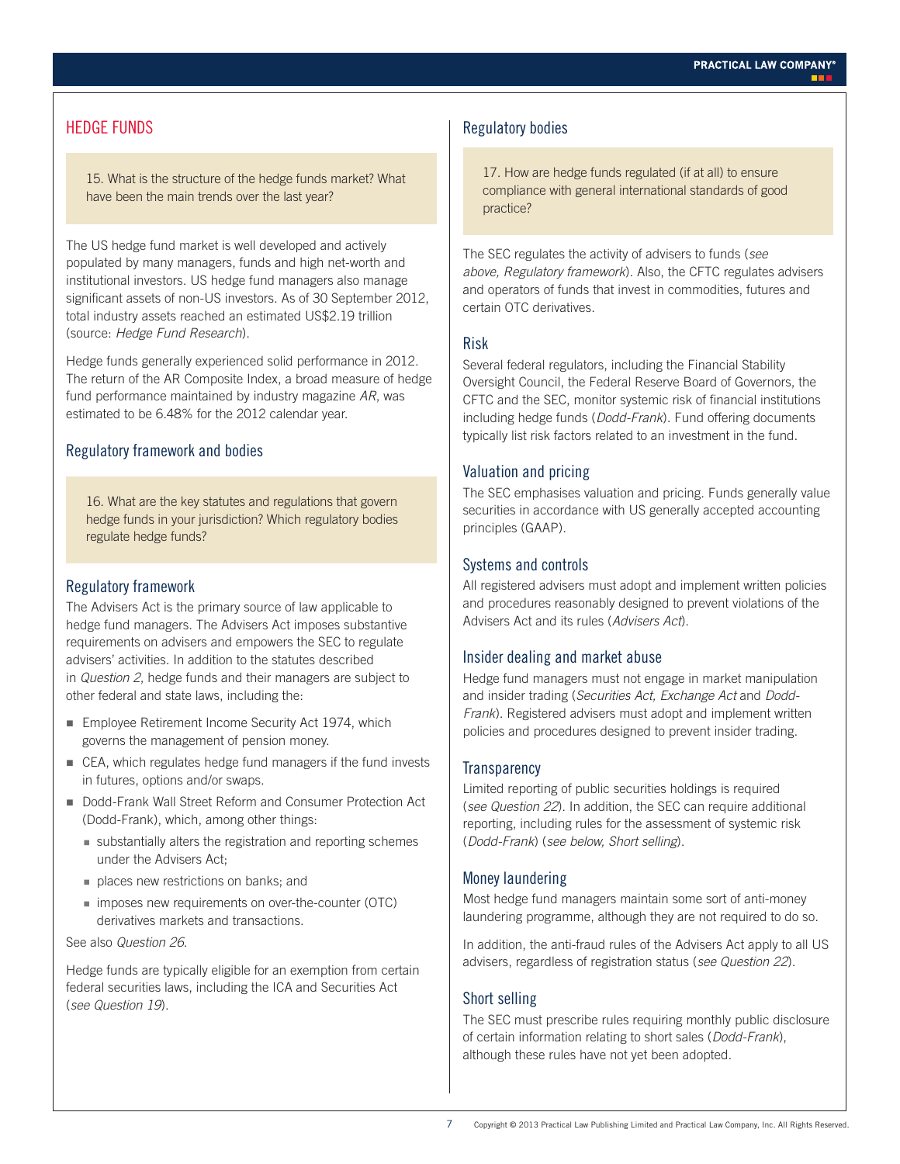# HEDGE FUNDS

15. What is the structure of the hedge funds market? What have been the main trends over the last year?

The US hedge fund market is well developed and actively populated by many managers, funds and high net-worth and institutional investors. US hedge fund managers also manage significant assets of non-US investors. As of 30 September 2012, total industry assets reached an estimated US\$2.19 trillion (source: *Hedge Fund Research*).

Hedge funds generally experienced solid performance in 2012. The return of the AR Composite Index, a broad measure of hedge fund performance maintained by industry magazine *AR*, was estimated to be 6.48% for the 2012 calendar year.

# Regulatory framework and bodies

16. What are the key statutes and regulations that govern hedge funds in your jurisdiction? Which regulatory bodies regulate hedge funds?

# Regulatory framework

The Advisers Act is the primary source of law applicable to hedge fund managers. The Advisers Act imposes substantive requirements on advisers and empowers the SEC to regulate advisers' activities. In addition to the statutes described in *Question 2*, hedge funds and their managers are subject to other federal and state laws, including the:

- **Employee Retirement Income Security Act 1974, which** governs the management of pension money.
- CEA, which regulates hedge fund managers if the fund invests in futures, options and/or swaps.
- Dodd-Frank Wall Street Reform and Consumer Protection Act (Dodd-Frank), which, among other things:
	- substantially alters the registration and reporting schemes under the Advisers Act;
	- places new restrictions on banks; and
	- imposes new requirements on over-the-counter (OTC) derivatives markets and transactions.

#### See also *Question 26*.

Hedge funds are typically eligible for an exemption from certain federal securities laws, including the ICA and Securities Act (*see Question 19*).

#### Regulatory bodies

17. How are hedge funds regulated (if at all) to ensure compliance with general international standards of good practice?

The SEC regulates the activity of advisers to funds (*see above, Regulatory framework*). Also, the CFTC regulates advisers and operators of funds that invest in commodities, futures and certain OTC derivatives.

#### Risk

Several federal regulators, including the Financial Stability Oversight Council, the Federal Reserve Board of Governors, the CFTC and the SEC, monitor systemic risk of financial institutions including hedge funds (*Dodd-Frank*). Fund offering documents typically list risk factors related to an investment in the fund.

#### Valuation and pricing

The SEC emphasises valuation and pricing. Funds generally value securities in accordance with US generally accepted accounting principles (GAAP).

# Systems and controls

All registered advisers must adopt and implement written policies and procedures reasonably designed to prevent violations of the Advisers Act and its rules (*Advisers Act*).

#### Insider dealing and market abuse

Hedge fund managers must not engage in market manipulation and insider trading (*Securities Act, Exchange Act* and *Dodd-Frank*). Registered advisers must adopt and implement written policies and procedures designed to prevent insider trading.

#### **Transparency**

Limited reporting of public securities holdings is required (*see Question 22*). In addition, the SEC can require additional reporting, including rules for the assessment of systemic risk (*Dodd-Frank*) (*see below, Short selling*).

#### Money laundering

Most hedge fund managers maintain some sort of anti-money laundering programme, although they are not required to do so.

In addition, the anti-fraud rules of the Advisers Act apply to all US advisers, regardless of registration status (*see Question 22*).

# Short selling

The SEC must prescribe rules requiring monthly public disclosure of certain information relating to short sales (*Dodd-Frank*), although these rules have not yet been adopted.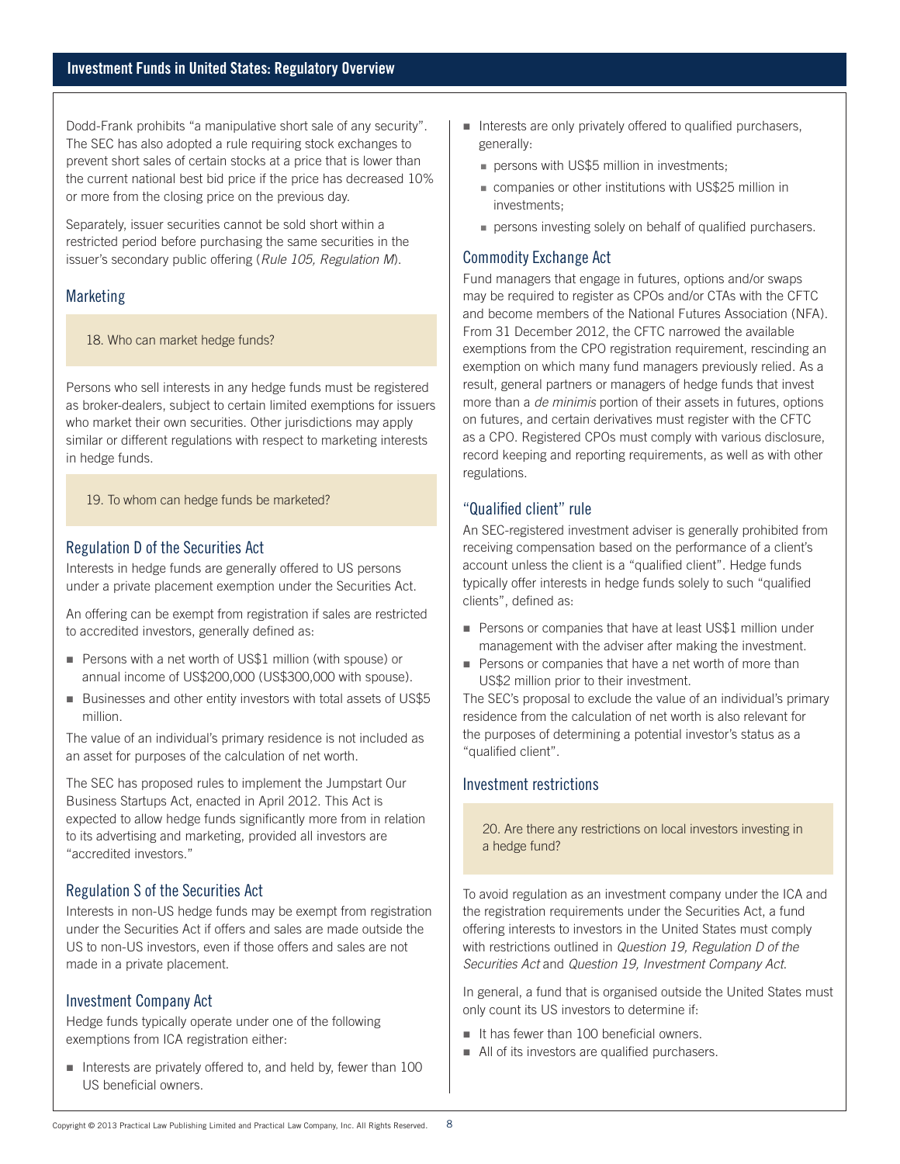Dodd-Frank prohibits "a manipulative short sale of any security". The SEC has also adopted a rule requiring stock exchanges to prevent short sales of certain stocks at a price that is lower than the current national best bid price if the price has decreased 10% or more from the closing price on the previous day.

Separately, issuer securities cannot be sold short within a restricted period before purchasing the same securities in the issuer's secondary public offering (*Rule 105, Regulation M*).

# **Marketing**

#### 18. Who can market hedge funds?

Persons who sell interests in any hedge funds must be registered as broker-dealers, subject to certain limited exemptions for issuers who market their own securities. Other jurisdictions may apply similar or different regulations with respect to marketing interests in hedge funds.

19. To whom can hedge funds be marketed?

# Regulation D of the Securities Act

Interests in hedge funds are generally offered to US persons under a private placement exemption under the Securities Act.

An offering can be exempt from registration if sales are restricted to accredited investors, generally defined as:

- Persons with a net worth of US\$1 million (with spouse) or annual income of US\$200,000 (US\$300,000 with spouse).
- Businesses and other entity investors with total assets of US\$5 million.

The value of an individual's primary residence is not included as an asset for purposes of the calculation of net worth.

The SEC has proposed rules to implement the Jumpstart Our Business Startups Act, enacted in April 2012. This Act is expected to allow hedge funds significantly more from in relation to its advertising and marketing, provided all investors are "accredited investors."

# Regulation S of the Securities Act

Interests in non-US hedge funds may be exempt from registration under the Securities Act if offers and sales are made outside the US to non-US investors, even if those offers and sales are not made in a private placement.

#### Investment Company Act

Hedge funds typically operate under one of the following exemptions from ICA registration either:

Interests are privately offered to, and held by, fewer than 100 US beneficial owners.

- $\blacksquare$  Interests are only privately offered to qualified purchasers, generally:
	- **persons with US\$5 million in investments;**
	- companies or other institutions with US\$25 million in investments;
	- persons investing solely on behalf of qualified purchasers.

# Commodity Exchange Act

Fund managers that engage in futures, options and/or swaps may be required to register as CPOs and/or CTAs with the CFTC and become members of the National Futures Association (NFA). From 31 December 2012, the CFTC narrowed the available exemptions from the CPO registration requirement, rescinding an exemption on which many fund managers previously relied. As a result, general partners or managers of hedge funds that invest more than a *de minimis* portion of their assets in futures, options on futures, and certain derivatives must register with the CFTC as a CPO. Registered CPOs must comply with various disclosure, record keeping and reporting requirements, as well as with other regulations.

# "Qualified client" rule

An SEC-registered investment adviser is generally prohibited from receiving compensation based on the performance of a client's account unless the client is a "qualified client". Hedge funds typically offer interests in hedge funds solely to such "qualified clients", defined as:

- **Persons or companies that have at least US\$1 million under** management with the adviser after making the investment.
- Persons or companies that have a net worth of more than US\$2 million prior to their investment.

The SEC's proposal to exclude the value of an individual's primary residence from the calculation of net worth is also relevant for the purposes of determining a potential investor's status as a "qualified client".

# Investment restrictions

20. Are there any restrictions on local investors investing in a hedge fund?

To avoid regulation as an investment company under the ICA and the registration requirements under the Securities Act, a fund offering interests to investors in the United States must comply with restrictions outlined in *Question 19, Regulation D of the Securities Act* and *Question 19, Investment Company Act*.

In general, a fund that is organised outside the United States must only count its US investors to determine if:

- $\blacksquare$  It has fewer than 100 beneficial owners.
- All of its investors are qualified purchasers.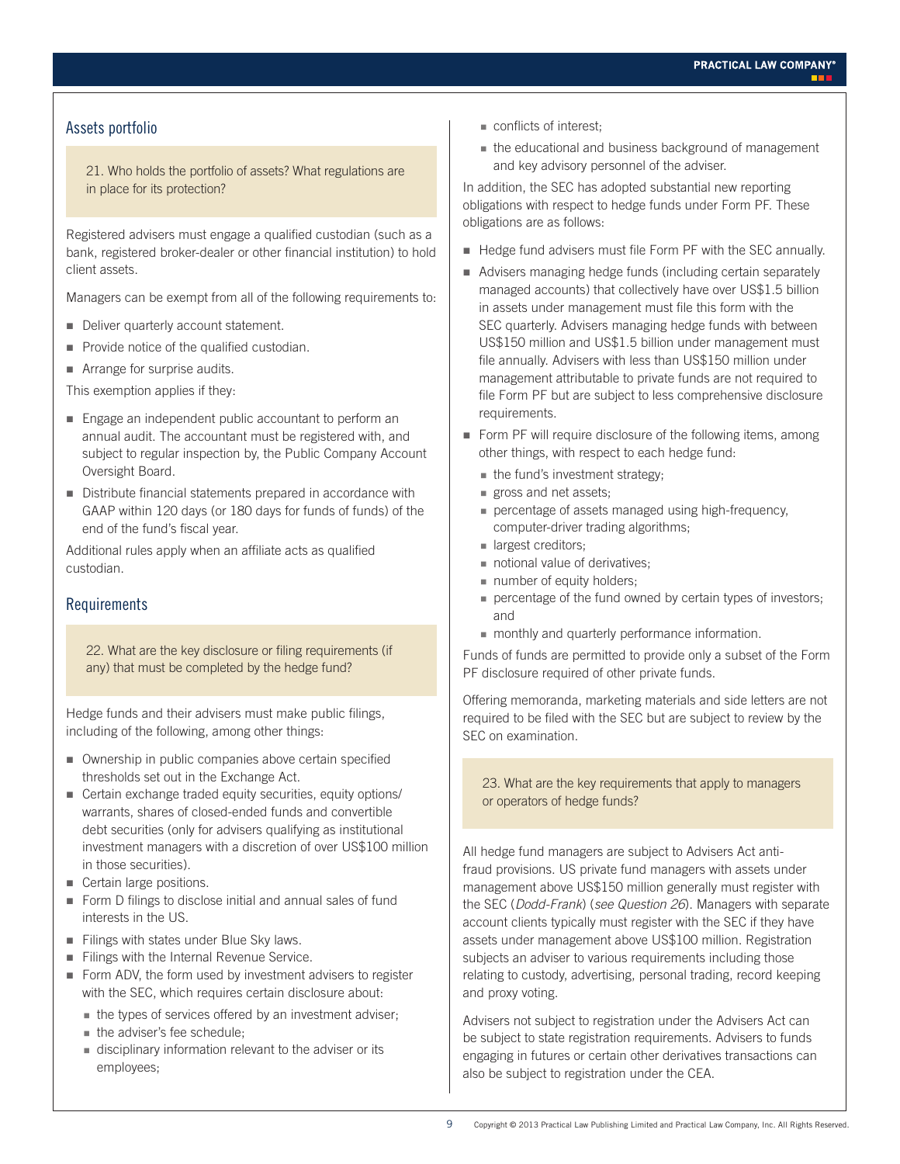# Assets portfolio

21. Who holds the portfolio of assets? What regulations are in place for its protection?

Registered advisers must engage a qualified custodian (such as a bank, registered broker-dealer or other financial institution) to hold client assets.

Managers can be exempt from all of the following requirements to:

- Deliver quarterly account statement.
- Provide notice of the qualified custodian.
- **Arrange for surprise audits.**

This exemption applies if they:

- Engage an independent public accountant to perform an annual audit. The accountant must be registered with, and subject to regular inspection by, the Public Company Account Oversight Board.
- Distribute financial statements prepared in accordance with GAAP within 120 days (or 180 days for funds of funds) of the end of the fund's fiscal year.

Additional rules apply when an affiliate acts as qualified custodian.

#### Requirements

22. What are the key disclosure or filing requirements (if any) that must be completed by the hedge fund?

Hedge funds and their advisers must make public filings, including of the following, among other things:

- **Ownership in public companies above certain specified** thresholds set out in the Exchange Act.
- Certain exchange traded equity securities, equity options/ warrants, shares of closed-ended funds and convertible debt securities (only for advisers qualifying as institutional investment managers with a discretion of over US\$100 million in those securities).
- Certain large positions.
- Form D filings to disclose initial and annual sales of fund interests in the US.
- Filings with states under Blue Sky laws.
- Filings with the Internal Revenue Service.
- Form ADV, the form used by investment advisers to register with the SEC, which requires certain disclosure about:
	- the types of services offered by an investment adviser;
	- the adviser's fee schedule;
	- disciplinary information relevant to the adviser or its employees;
- conflicts of interest;
- the educational and business background of management and key advisory personnel of the adviser.

In addition, the SEC has adopted substantial new reporting obligations with respect to hedge funds under Form PF. These obligations are as follows:

- Hedge fund advisers must file Form PF with the SEC annually.
- Advisers managing hedge funds (including certain separately managed accounts) that collectively have over US\$1.5 billion in assets under management must file this form with the SEC quarterly. Advisers managing hedge funds with between US\$150 million and US\$1.5 billion under management must file annually. Advisers with less than US\$150 million under management attributable to private funds are not required to file Form PF but are subject to less comprehensive disclosure requirements.
- Form PF will require disclosure of the following items, among other things, with respect to each hedge fund:
	- $\blacksquare$  the fund's investment strategy;
	- gross and net assets;
	- percentage of assets managed using high-frequency, computer-driver trading algorithms;
	- **largest creditors;**
	- notional value of derivatives:
	- number of equity holders;
	- percentage of the fund owned by certain types of investors; and
	- monthly and quarterly performance information.

Funds of funds are permitted to provide only a subset of the Form PF disclosure required of other private funds.

Offering memoranda, marketing materials and side letters are not required to be filed with the SEC but are subject to review by the SEC on examination.

23. What are the key requirements that apply to managers or operators of hedge funds?

All hedge fund managers are subject to Advisers Act antifraud provisions. US private fund managers with assets under management above US\$150 million generally must register with the SEC (*Dodd-Frank*) (*see Question 26*). Managers with separate account clients typically must register with the SEC if they have assets under management above US\$100 million. Registration subjects an adviser to various requirements including those relating to custody, advertising, personal trading, record keeping and proxy voting.

Advisers not subject to registration under the Advisers Act can be subject to state registration requirements. Advisers to funds engaging in futures or certain other derivatives transactions can also be subject to registration under the CEA.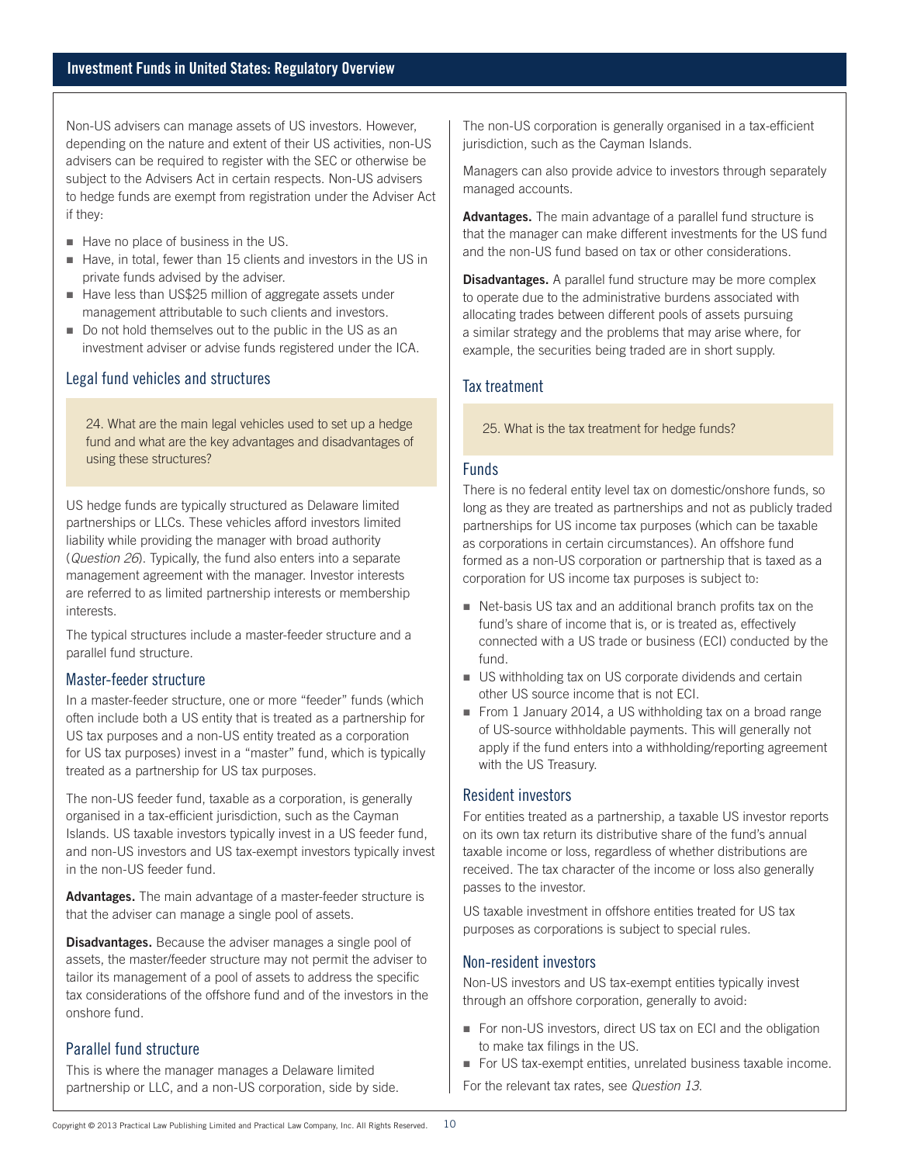Non-US advisers can manage assets of US investors. However, depending on the nature and extent of their US activities, non-US advisers can be required to register with the SEC or otherwise be subject to the Advisers Act in certain respects. Non-US advisers to hedge funds are exempt from registration under the Adviser Act if they:

- Have no place of business in the US.
- Have, in total, fewer than 15 clients and investors in the US in private funds advised by the adviser.
- Have less than US\$25 million of aggregate assets under management attributable to such clients and investors.
- Do not hold themselves out to the public in the US as an investment adviser or advise funds registered under the ICA.

#### Legal fund vehicles and structures

24. What are the main legal vehicles used to set up a hedge fund and what are the key advantages and disadvantages of using these structures?

US hedge funds are typically structured as Delaware limited partnerships or LLCs. These vehicles afford investors limited liability while providing the manager with broad authority (*Question 26*). Typically, the fund also enters into a separate management agreement with the manager. Investor interests are referred to as limited partnership interests or membership interests.

The typical structures include a master-feeder structure and a parallel fund structure.

#### Master-feeder structure

In a master-feeder structure, one or more "feeder" funds (which often include both a US entity that is treated as a partnership for US tax purposes and a non-US entity treated as a corporation for US tax purposes) invest in a "master" fund, which is typically treated as a partnership for US tax purposes.

The non-US feeder fund, taxable as a corporation, is generally organised in a tax-efficient jurisdiction, such as the Cayman Islands. US taxable investors typically invest in a US feeder fund, and non-US investors and US tax-exempt investors typically invest in the non-US feeder fund.

**Advantages.** The main advantage of a master-feeder structure is that the adviser can manage a single pool of assets.

**Disadvantages.** Because the adviser manages a single pool of assets, the master/feeder structure may not permit the adviser to tailor its management of a pool of assets to address the specific tax considerations of the offshore fund and of the investors in the onshore fund.

#### Parallel fund structure

This is where the manager manages a Delaware limited partnership or LLC, and a non-US corporation, side by side.

The non-US corporation is generally organised in a tax-efficient jurisdiction, such as the Cayman Islands.

Managers can also provide advice to investors through separately managed accounts.

**Advantages.** The main advantage of a parallel fund structure is that the manager can make different investments for the US fund and the non-US fund based on tax or other considerations.

**Disadvantages.** A parallel fund structure may be more complex to operate due to the administrative burdens associated with allocating trades between different pools of assets pursuing a similar strategy and the problems that may arise where, for example, the securities being traded are in short supply.

# Tax treatment

25. What is the tax treatment for hedge funds?

#### Funds

There is no federal entity level tax on domestic/onshore funds, so long as they are treated as partnerships and not as publicly traded partnerships for US income tax purposes (which can be taxable as corporations in certain circumstances). An offshore fund formed as a non-US corporation or partnership that is taxed as a corporation for US income tax purposes is subject to:

- Net-basis US tax and an additional branch profits tax on the fund's share of income that is, or is treated as, effectively connected with a US trade or business (ECI) conducted by the fund.
- US withholding tax on US corporate dividends and certain other US source income that is not ECI.
- From 1 January 2014, a US withholding tax on a broad range of US-source withholdable payments. This will generally not apply if the fund enters into a withholding/reporting agreement with the US Treasury.

#### Resident investors

For entities treated as a partnership, a taxable US investor reports on its own tax return its distributive share of the fund's annual taxable income or loss, regardless of whether distributions are received. The tax character of the income or loss also generally passes to the investor.

US taxable investment in offshore entities treated for US tax purposes as corporations is subject to special rules.

#### Non-resident investors

Non-US investors and US tax-exempt entities typically invest through an offshore corporation, generally to avoid:

- For non-US investors, direct US tax on ECI and the obligation to make tax filings in the US.
- For US tax-exempt entities, unrelated business taxable income.

For the relevant tax rates, see *Question 13*.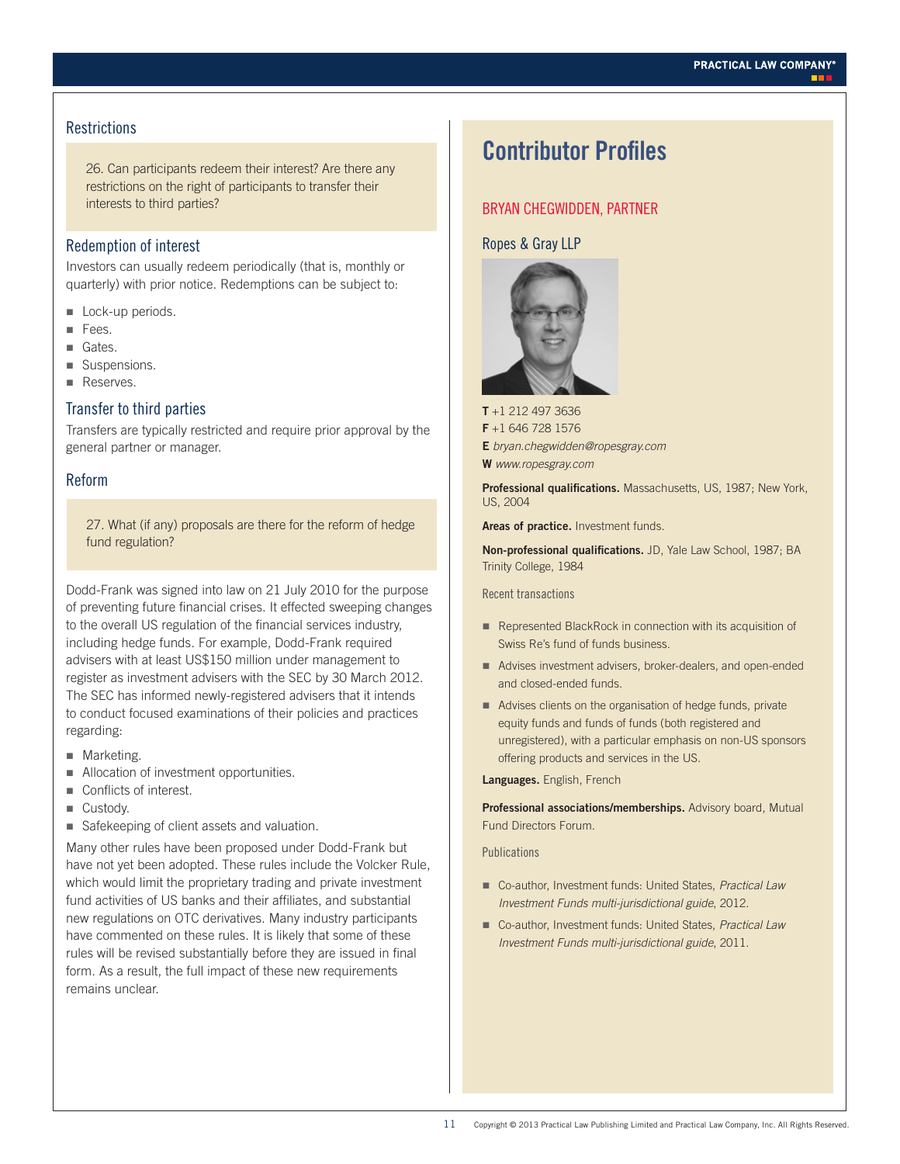#### **Restrictions**

26. Can participants redeem their interest? Are there any restrictions on the right of participants to transfer their interests to third parties?

#### Redemption of interest

Investors can usually redeem periodically (that is, monthly or quarterly) with prior notice. Redemptions can be subject to:

- Lock-up periods.
- Fees.
- Gates.
- Suspensions.
- Reserves.

#### Transfer to third parties

Transfers are typically restricted and require prior approval by the general partner or manager.

#### Reform

27. What (if any) proposals are there for the reform of hedge fund regulation?

Dodd-Frank was signed into law on 21 July 2010 for the purpose of preventing future financial crises. It effected sweeping changes to the overall US regulation of the financial services industry, including hedge funds. For example, Dodd-Frank required advisers with at least US\$150 million under management to register as investment advisers with the SEC by 30 March 2012. The SEC has informed newly-registered advisers that it intends to conduct focused examinations of their policies and practices regarding:

- **Marketing.**
- **Allocation of investment opportunities.**
- Conflicts of interest.
- Custody.
- Safekeeping of client assets and valuation.

Many other rules have been proposed under Dodd-Frank but have not yet been adopted. These rules include the Volcker Rule, which would limit the proprietary trading and private investment fund activities of US banks and their affiliates, and substantial new regulations on OTC derivatives. Many industry participants have commented on these rules. It is likely that some of these rules will be revised substantially before they are issued in final form. As a result, the full impact of these new requirements remains unclear.

# **Contributor Profiles**

### BRYAN CHEGWIDDEN, PARTNER

#### Ropes & Gray LLP



**T** +1 212 497 3636 **F** +1 646 728 1576 **E** *bryan.chegwidden@ropesgray.com* **W** *www.ropesgray.com*

**Professional qualifications.** Massachusetts, US, 1987; New York, US, 2004

**Areas of practice.** Investment funds.

**Non-professional qualifications.** JD, Yale Law School, 1987; BA Trinity College, 1984

Recent transactions

- Represented BlackRock in connection with its acquisition of Swiss Re's fund of funds business.
- Advises investment advisers, broker-dealers, and open-ended and closed-ended funds.
- Advises clients on the organisation of hedge funds, private equity funds and funds of funds (both registered and unregistered), with a particular emphasis on non-US sponsors offering products and services in the US.

**Languages.** English, French

**Professional associations/memberships.** Advisory board, Mutual Fund Directors Forum.

**Publications** 

- Co-author, Investment funds: United States, *Practical Law Investment Funds multi-jurisdictional guide*, 2012.
- Co-author, Investment funds: United States, *Practical Law Investment Funds multi-jurisdictional guide*, 2011.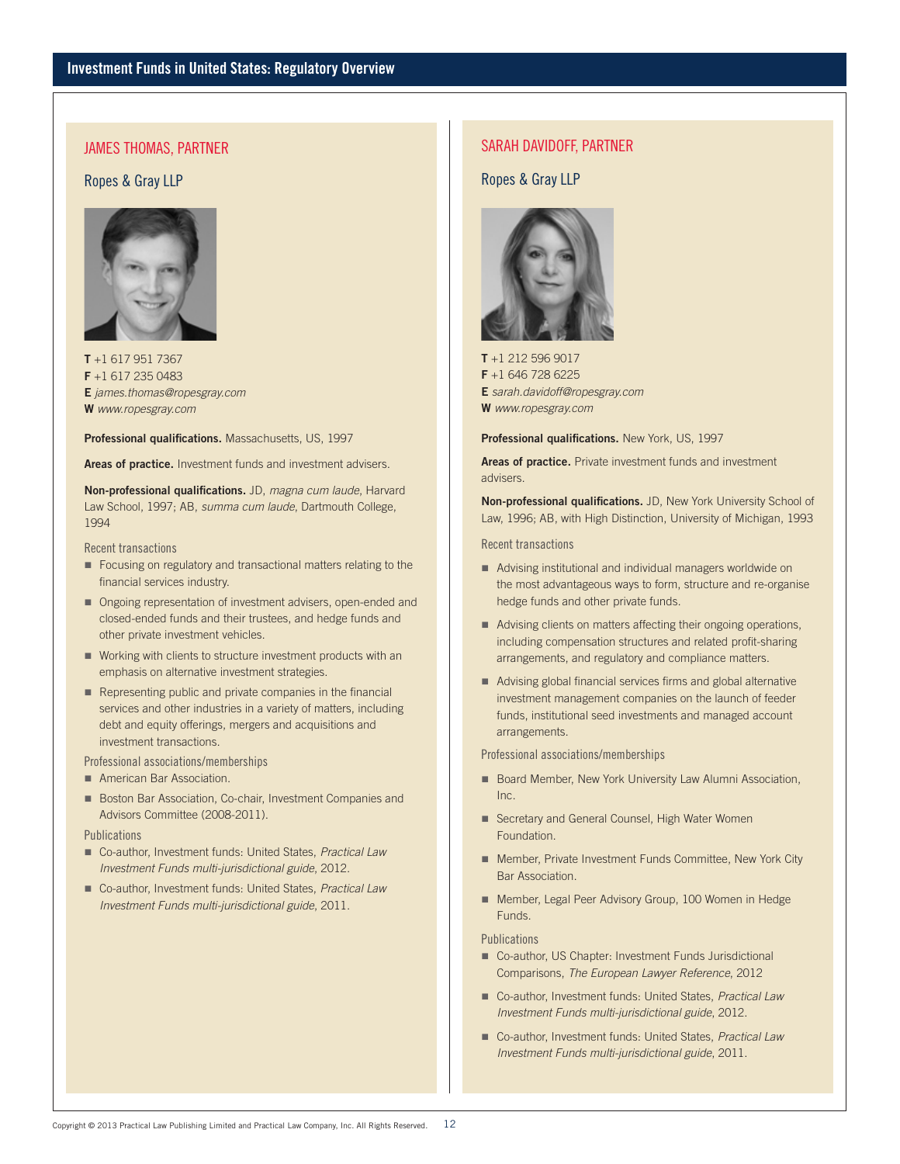#### JAMES THOMAS, PARTNER

#### Ropes & Gray LLP



**T** +1 617 951 7367 **F** +1 617 235 0483 **E** *james.thomas@ropesgray.com* **W** *www.ropesgray.com*

**Professional qualifications.** Massachusetts, US, 1997

**Areas of practice.** Investment funds and investment advisers.

**Non-professional qualifications.** JD, *magna cum laude*, Harvard Law School, 1997; AB, *summa cum laude*, Dartmouth College, 1994

#### Recent transactions

- **Focusing on regulatory and transactional matters relating to the** financial services industry.
- Ongoing representation of investment advisers, open-ended and closed-ended funds and their trustees, and hedge funds and other private investment vehicles.
- Working with clients to structure investment products with an emphasis on alternative investment strategies.
- Representing public and private companies in the financial services and other industries in a variety of matters, including debt and equity offerings, mergers and acquisitions and investment transactions.

Professional associations/memberships

- **American Bar Association.**
- Boston Bar Association, Co-chair, Investment Companies and Advisors Committee (2008-2011).

**Publications** 

- Co-author, Investment funds: United States, *Practical Law Investment Funds multi-jurisdictional guide*, 2012.
- Co-author, Investment funds: United States, *Practical Law Investment Funds multi-jurisdictional guide*, 2011.

#### SARAH DAVIDOFF, PARTNER

Ropes & Gray LLP



**T** +1 212 596 9017 **F** +1 646 728 6225 **E** *sarah.davidoff@ropesgray.com* **W** *www.ropesgray.com*

**Professional qualifications.** New York, US, 1997

**Areas of practice.** Private investment funds and investment advisers.

**Non-professional qualifications.** JD, New York University School of Law, 1996; AB, with High Distinction, University of Michigan, 1993

Recent transactions

- Advising institutional and individual managers worldwide on the most advantageous ways to form, structure and re-organise hedge funds and other private funds.
- Advising clients on matters affecting their ongoing operations, including compensation structures and related profit-sharing arrangements, and regulatory and compliance matters.
- Advising global financial services firms and global alternative investment management companies on the launch of feeder funds, institutional seed investments and managed account arrangements.

Professional associations/memberships

- Board Member, New York University Law Alumni Association, Inc.
- Secretary and General Counsel, High Water Women **Foundation**
- Member, Private Investment Funds Committee, New York City Bar Association.
- Member, Legal Peer Advisory Group, 100 Women in Hedge Funds.

**Publications** 

- Co-author, US Chapter: Investment Funds Jurisdictional Comparisons, *The European Lawyer Reference*, 2012
- Co-author, Investment funds: United States, *Practical Law Investment Funds multi-jurisdictional guide*, 2012.
- Co-author, Investment funds: United States, *Practical Law Investment Funds multi-jurisdictional guide*, 2011.